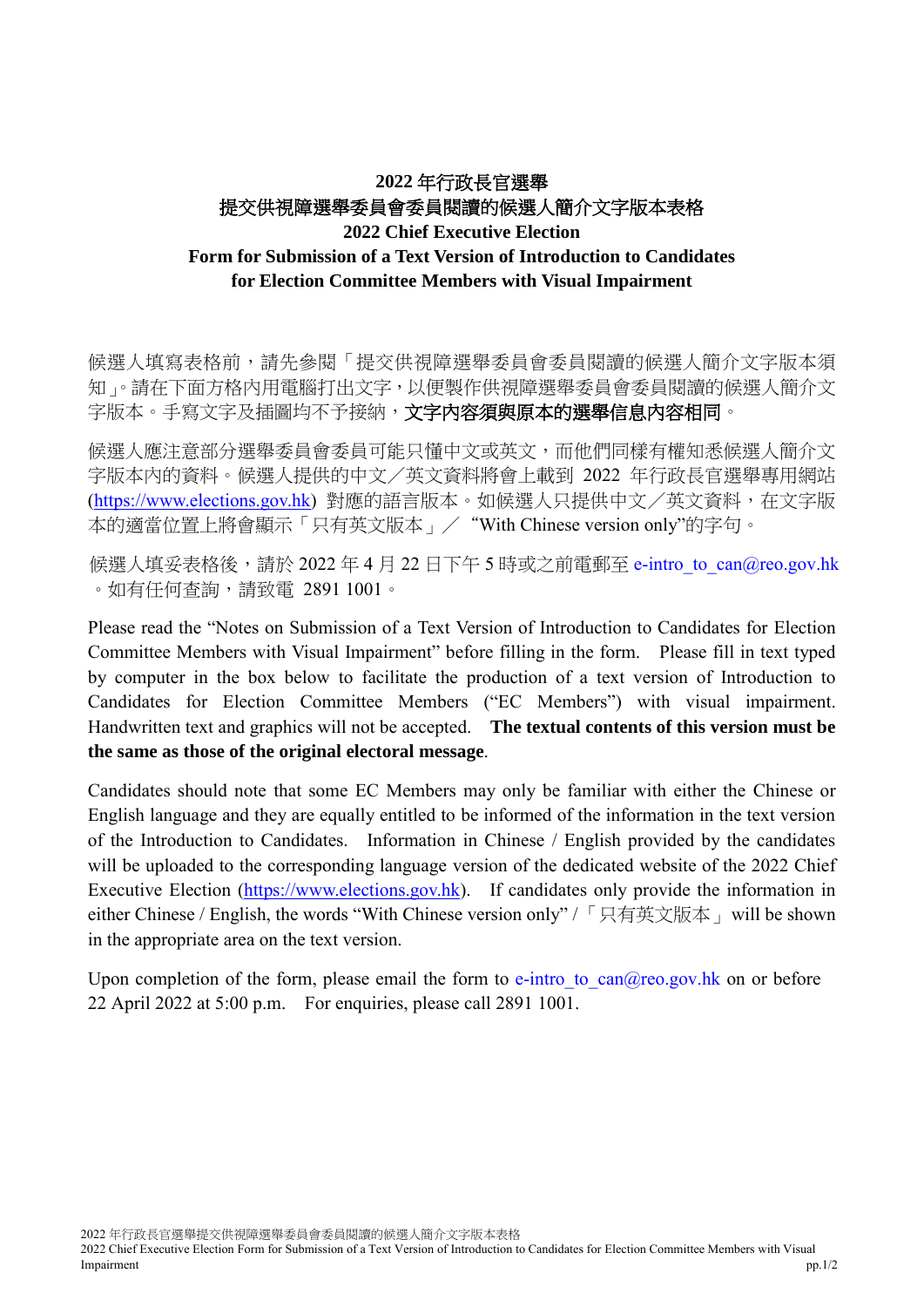# **2022** 年行政長官選舉 提交供視障選舉委員會委員閱讀的候選人簡介文字版本表格 **2022 Chief Executive Election Form for Submission of a Text Version of Introduction to Candidates for Election Committee Members with Visual Impairment**

候選人填寫表格前,請先參閱「提交供視障選舉委員會委員閱讀的候選人簡介文字版本須 知」。請在下面方格內用電腦打出文字,以便製作供視障選舉委員會委員閱讀的候選人簡介文 字版本。手寫文字及插圖均不予接納,**文字內容須與原本的選舉信息內容相同**。

候選人應注意部分選舉委員會委員可能只懂中文或英文,而他們同樣有權知悉候選人簡介文 字版本內的資料。候選人提供的中文/英文資料將會上載到 2022 年行政長官選舉專用網站 [\(https://www.elections.gov.hk\)](https://www.elections.gov.hk/) 對應的語言版本。如候選人只提供中文/英文資料,在文字版 本的適當位置上將會顯示「只有英文版本」/"With Chinese version only"的字句。

候選人填妥表格後,請於 2022年4月22日下午5時或之前電郵至 e-intro to can@reo.gov.hk 。如有任何查詢,請致電 2891 1001。

Please read the "Notes on Submission of a Text Version of Introduction to Candidates for Election Committee Members with Visual Impairment" before filling in the form. Please fill in text typed by computer in the box below to facilitate the production of a text version of Introduction to Candidates for Election Committee Members ("EC Members") with visual impairment. Handwritten text and graphics will not be accepted. **The textual contents of this version must be the same as those of the original electoral message**.

Candidates should note that some EC Members may only be familiar with either the Chinese or English language and they are equally entitled to be informed of the information in the text version of the Introduction to Candidates. Information in Chinese / English provided by the candidates will be uploaded to the corresponding language version of the dedicated website of the 2022 Chief Executive Election [\(https://www.elections.gov.hk\)](https://www.elections.gov.hk/). If candidates only provide the information in either Chinese / English, the words "With Chinese version only" / 「只有英文版本」will be shown in the appropriate area on the text version.

Upon completion of the form, please email the form to  $e$ -intro to  $can@reo.gov.hk$  on or before 22 April 2022 at 5:00 p.m. For enquiries, please call 2891 1001.